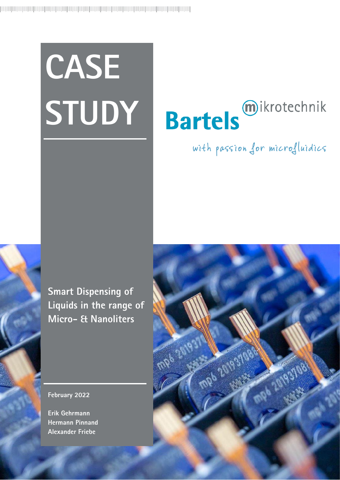# **CASE STUDY**

# **Bartels** mikrotechnik

# with passion for microfluidics

**Smart Dispensing of Liquids in the range of Micro- & Nanoliters**

## **February 2022**

**Erik Gehrmann Hermann Pinnand Alexander Friebe**

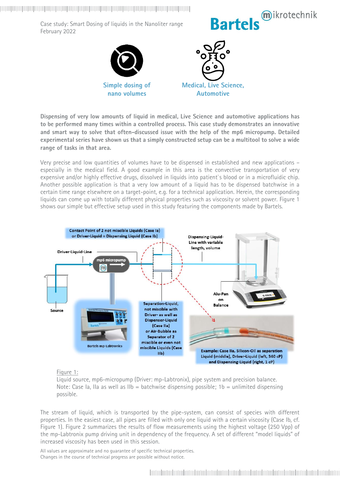

**Dispensing of very low amounts of liquid in medical, Live Science and automotive applications has to be performed many times within a controlled process. This case study demonstrates an innovative and smart way to solve that often-discussed issue with the help of the mp6 micropump. Detailed experimental series have shown us that a simply constructed setup can be a multitool to solve a wide range of tasks in that area.**

Very precise and low quantities of volumes have to be dispensed in established and new applications – especially in the medical field. A good example in this area is the convective transportation of very expensive and/or highly effective drugs, dissolved in liquids into patient`s blood or in a microfluidic chip. Another possible application is that a very low amount of a liquid has to be dispensed batchwise in a certain time range elsewhere on a target-point, e.g. for a technical application. Herein, the corresponding liquids can come up with totally different physical properties such as viscosity or solvent power. Figure 1 shows our simple but effective setup used in this study featuring the components made by Bartels.



### Figure 1:

Liquid source, mp6-micropump (Driver: mp-Labtronix), pipe system and precision balance. Note: Case Ia, IIa as well as IIb = batchwise dispensing possible;  $1b =$  unlimited dispensing possible.

The stream of liquid, which is transported by the pipe-system, can consist of species with different properties. In the easiest case, all pipes are filled with only one liquid with a certain viscosity (Case Ib, cf. Figure 1). Figure 2 summarizes the results of flow measurements using the highest voltage (250 Vpp) of the mp-Labtronix pump driving unit in dependency of the frequency. A set of different "model liquids" of increased viscosity has been used in this session.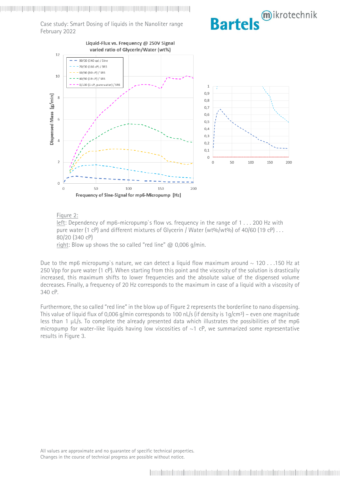mikrotechnik **Bartels** 

Case study: Smart Dosing of liquids in the Nanoliter range February 2022



### Figure 2:

left: Dependency of mp6-micropump's flow vs. frequency in the range of 1 . . . 200 Hz with pure water (1 cP) and different mixtures of Glycerin / Water (wt%/wt%) of 40/60 (19 cP)  $\dots$ 80/20 (340 cP) right: Blow up shows the so called "red line"  $@$  0,006 g/min.

Due to the mp6 micropump's nature, we can detect a liquid flow maximum around  $\sim$  120  $\dots$  150 Hz at 250 Vpp for pure water (1 cP). When starting from this point and the viscosity of the solution is drastically

increased, this maximum shifts to lower frequencies and the absolute value of the dispensed volume decreases. Finally, a frequency of 20 Hz corresponds to the maximum in case of a liquid with a viscosity of 340 cP.

Furthermore, the so called "red line" in the blow up of Figure 2 represents the borderline to nano dispensing. This value of liquid flux of 0,006 g/min corresponds to 100 nL/s (if density is 1g/cm<sup>3</sup>) – even one magnitude less than 1 µL/s. To complete the already presented data which illustrates the possibilities of the mp6 micropump for water-like liquids having low viscosities of  $\sim$ 1 cP, we summarized some representative results in Figure 3.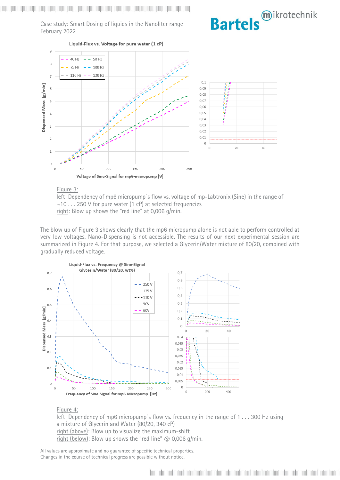

### Figure 3:

left: Dependency of mp6 micropump`s flow vs. voltage of mp-Labtronix (Sine) in the range of  $\sim$ 10 . . . 250 V for pure water (1 cP) at selected frequencies right: Blow up shows the "red line" at 0,006 g/min.

The blow up of Figure 3 shows clearly that the mp6 micropump alone is not able to perform controlled at very low voltages. Nano-Dispensing is not accessible. The results of our next experimental session are summarized in Figure 4. For that purpose, we selected a Glycerin/Water mixture of 80/20, combined with gradually reduced voltage.



### Figure 4:

left: Dependency of mp6 micropump`s flow vs. frequency in the range of 1 . . . 300 Hz using a mixture of Glycerin and Water (80/20, 340 cP) right (above): Blow up to visualize the maximum-shift right (below): Blow up shows the "red line"  $@$  0,006 g/min.

All values are approximate and no guarantee of specific technical properties. Changes in the course of technical progress are possible without notice.

mikrotechnik

**Bartels**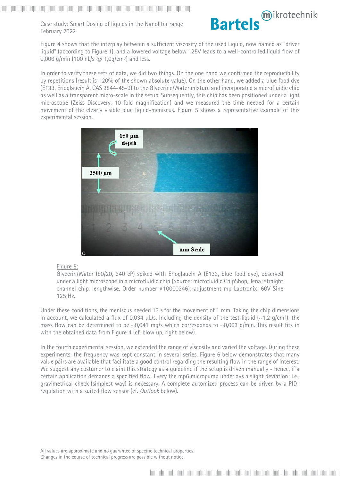

Figure 4 shows that the interplay between a sufficient viscosity of the used Liquid, now named as "driver liquid" (according to Figure 1), and a lowered voltage below 125V leads to a well-controlled liquid flow of 0,006 g/min (100 nL/s  $@$  1,0g/cm<sup>3</sup>) and less.

In order to verify these sets of data, we did two things. On the one hand we confirmed the reproducibility by repetitions (result is  $\pm 20\%$  of the shown absolute value). On the other hand, we added a blue food dye (E133, Erioglaucin A, CAS 3844-45-9) to the Glycerine/Water mixture and incorporated a microfluidic chip as well as a transparent micro-scale in the setup. Subsequently, this chip has been positioned under a light microscope (Zeiss Discovery, 10-fold magnification) and we measured the time needed for a certain movement of the clearly visible blue liquid-meniscus. Figure 5 shows a representative example of this experimental session.



### Figure 5:

Glycerin/Water (80/20, 340 cP) spiked with Erioglaucin A (E133, blue food dye), observed under a light microscope in a microfluidic chip (Source: microfluidic ChipShop, Jena; straight channel chip, lengthwise, Order number #10000246); adjustment mp-Labtronix: 60V Sine 125 Hz.

Under these conditions, the meniscus needed 13 s for the movement of 1 mm. Taking the chip dimensions in account, we calculated a flux of 0,034  $\mu$ L/s. Including the density of the test liquid (~1,2 g/cm<sup>3</sup>), the mass flow can be determined to be  $\sim 0.041$  mg/s which corresponds to  $\sim 0.003$  g/min. This result fits in with the obtained data from Figure 4 (cf. blow up, right below).

In the fourth experimental session, we extended the range of viscosity and varied the voltage. During these experiments, the frequency was kept constant in several series. Figure 6 below demonstrates that many value pairs are available that facilitate a good control regarding the resulting flow in the range of interest. We suggest any costumer to claim this strategy as a quideline if the setup is driven manually - hence, if a certain application demands a specified flow. Every the mp6 micropump underlays a slight deviation; i.e., gravimetrical check (simplest way) is necessary. A complete automized process can be driven by a PIDregulation with a suited flow sensor (cf. *Outlook* below).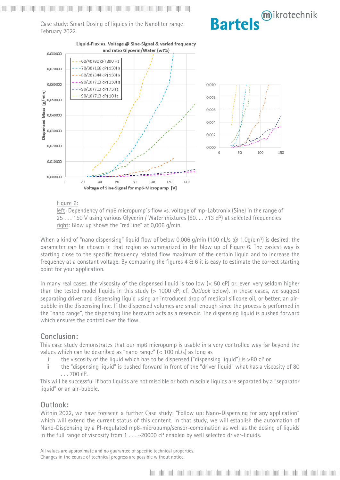



### Figure 6:

left: Dependency of mp6 micropump`s flow vs. voltage of mp-Labtronix (Sine) in the range of 25 . . . 150 V using various Glycerin / Water mixtures (80. . . 713 cP) at selected frequencies right: Blow up shows the "red line" at 0,006 g/min.

When a kind of "nano dispensing" liquid flow of below 0,006 g/min (100 nL/s  $@$  1,0g/cm<sup>3</sup>) is desired, the parameter can be chosen in that region as summarized in the blow up of Figure 6. The easiest way is starting close to the specific frequency related flow maximum of the certain liquid and to increase the frequency at a constant voltage. By comparing the figures 4 & 6 it is easy to estimate the correct starting point for your application.

In many real cases, the viscosity of the dispensed liquid is too low (< 50 cP) or, even very seldom higher than the tested model liquids in this study (> 1000 cP; cf. *Outlook* below). In those cases, we suggest separating driver and dispensing liquid using an introduced drop of medical silicone oil, or better, an airbubble in the dispensing line. If the dispensed volumes are small enough since the process is performed in the "nano range", the dispensing line herewith acts as a reservoir. The dispensing liquid is pushed forward which ensures the control over the flow.

# **Conclusion:**

This case study demonstrates that our mp6 micropump is usable in a very controlled way far beyond the values which can be described as "nano range" (< 100 nL/s) as long as

- i. the viscosity of the liquid which has to be dispensed ("dispensing liquid") is >80 cP or
- ii. the "dispensing liquid" is pushed forward in front of the "driver liquid" what has a viscosity of 80 . . . 700 cP.

This will be successful if both liquids are not miscible or both miscible liquids are separated by a "separator liquid" or an air-bubble.

# **Outlook:**

Within 2022, we have foreseen a further Case study: "Follow up: Nano-Dispensing for any application" which will extend the current status of this content. In that study, we will establish the automation of Nano-Dispensing by a PI-regulated mp6-micropump/sensor-combination as well as the dosing of liquids in the full range of viscosity from  $1 \ldots \sim 20000$  cP enabled by well selected driver-liquids.